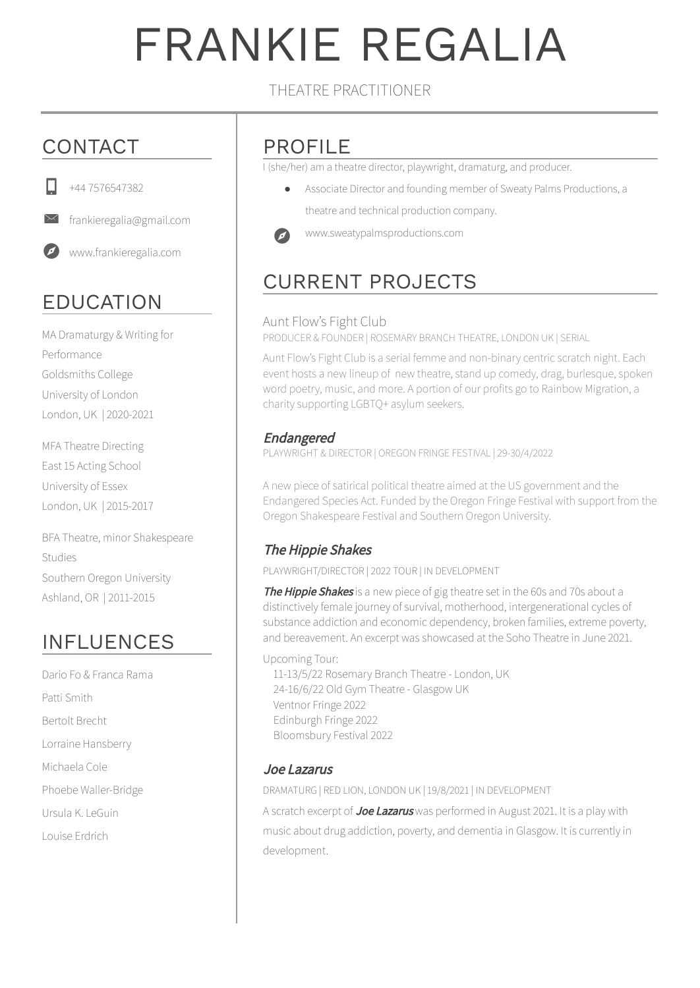# FRANKIE REGALIA

#### THEATRE PRACTITIONER

## CONTACT



 $\Join$ 

+44 7576547382

frankieregalia@gmail.com

www.frankieregalia.com

# EDUCATION

MA Dramaturgy & Writing for Performance Goldsmiths College University of London London, UK | 2020-2021

MFA Theatre Directing East 15 Acting School University of Essex London, UK | 2015-2017

BFA Theatre, minor Shakespeare Studies Southern Oregon University Ashland, OR | 2011-2015

## INFLUENCES

Dario Fo & Franca Rama Patti Smith Bertolt Brecht Lorraine Hansberry Michaela Cole Phoebe Waller-Bridge Ursula K. LeGuin Louise Erdrich

### PROFILE

I (she/her) am a theatre director, playwright, dramaturg, and producer.

● Associate Director and founding member of Sweaty Palms Productions, a theatre and technical production company.



www.sweatypalmsproductions.com

# CURRENT PROJECTS

#### Aunt Flow's Fight Club

PRODUCER & FOUNDER | ROSEMARY BRANCH THEATRE, LONDON UK | SERIAL

Aunt Flow's Fight Club is a serial femme and non-binary centric scratch night. Each event hosts a new lineup of new theatre, stand up comedy, drag, burlesque, spoken word poetry, music, and more. A portion of our profits go to Rainbow Migration, a charity supporting LGBTQ+ asylum seekers.

#### Endangered

PLAYWRIGHT & DIRECTOR | OREGON FRINGE FESTIVAL | 29-30/4/2022

A new piece of satirical political theatre aimed at the US government and the Endangered Species Act. Funded by the Oregon Fringe Festival with support from the Oregon Shakespeare Festival and Southern Oregon University.

#### The Hippie Shakes

PLAYWRIGHT/DIRECTOR | 2022 TOUR | IN DEVELOPMENT

The Hippie Shakes is a new piece of gig theatre set in the 60s and 70s about a distinctively female journey of survival, motherhood, intergenerational cycles of substance addiction and economic dependency, broken families, extreme poverty, and bereavement. An excerpt was showcased at the Soho Theatre in June 2021.

Upcoming Tour:

11-13/5/22 Rosemary Branch Theatre - London, UK 24-16/6/22 Old Gym Theatre - Glasgow UK Ventnor Fringe 2022 Edinburgh Fringe 2022 Bloomsbury Festival 2022

#### Joe Lazarus

development.

DRAMATURG | RED LION, LONDON UK | 19/8/2021 | IN DEVELOPMENT A scratch excerpt of Joe Lazarus was performed in August 2021. It is a play with music about drug addiction, poverty, and dementia in Glasgow. It is currently in